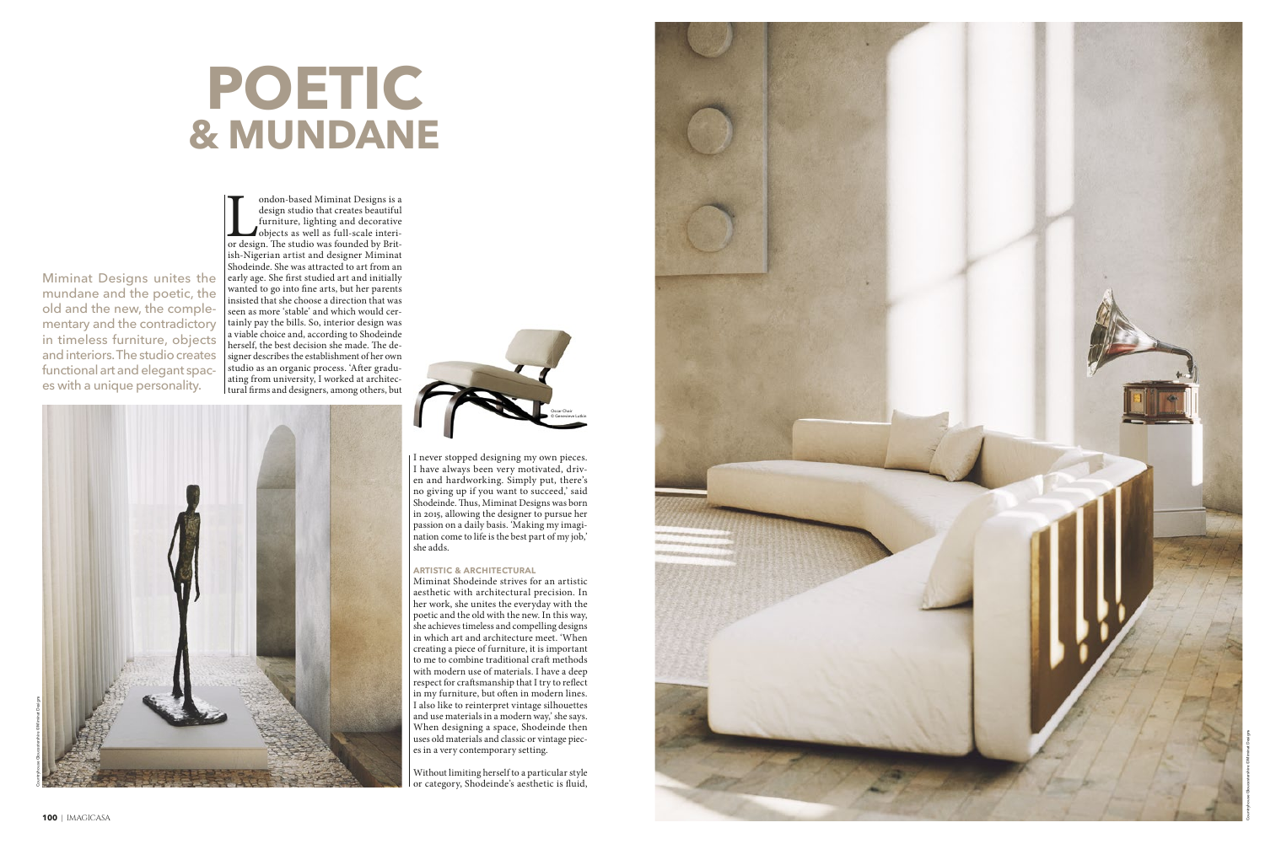Without limiting herself to a particular style or category, Shodeinde's aesthetic is fluid,



I never stopped designing my own pieces. I have always been very motivated, driven and hardworking. Simply put, there's no giving up if you want to succeed,' said Shodeinde. Thus, Miminat Designs was born in 2015, allowing the designer to pursue her passion on a daily basis. 'Making my imagination come to life is the best part of my job,' she adds.

#### **ARTISTIC & ARCHITECTURAL**

Miminat Shodeinde strives for an artistic aesthetic with architectural precision. In her work, she unites the everyday with the poetic and the old with the new. In this way, she achieves timeless and compelling designs in which art and architecture meet. 'When creating a piece of furniture, it is important to me to combine traditional cra f methods with modern use of materials. I have a deep respect for craftsmanship that I try to reflect in my furniture, but often in modern lines. I also like to reinterpret vintage silhouettes and use materials in a modern way,' she says. When designing a space, Shodeinde then uses old materials and classic or vintage pieces in a very contemporary setting.

Miminat Designs unites the mundane and the poetic, the old and the new, the complementary and the contradictory in timeless furniture, objects and interiors. The studio creates functional art and elegant spaces with a unique personality.

ondon-based Miminat Designs is a design studio that creates beautiful furniture, lighting and decorative objects as well as full-scale interior design. The studio was founded by Britondon-based Miminat Designs is a design studio that creates beautiful furniture, lighting and decorative objects as well as full-scale interiish-Nigerian artist and designer Miminat Shodeinde. She was attracted to art from an early age. She first studied art and initially wanted to go into fine arts, but her parents insisted that she choose a direction that was seen as more 'stable' and which would certainly pay the bills. So, interior design was a viable choice and, according to Shodeinde herself, the best decision she made. The designer describes the establishment of her own studio as an organic process. 'After graduating from university, I worked at architectural firms and designers, among others, but

## **POETIC & MUNDANE**



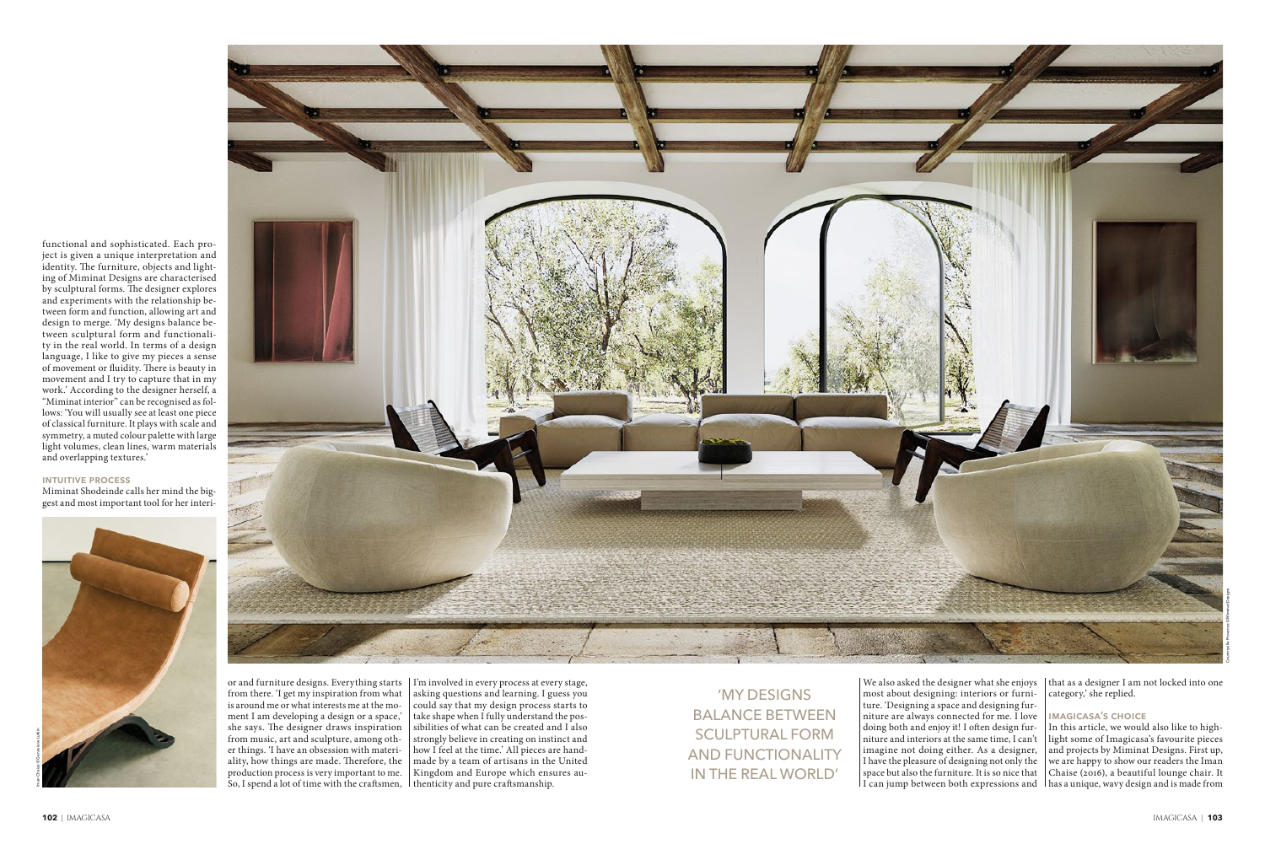functional and sophisticated. Each project is given a unique interpretation and identity. The furniture, objects and lighting of Miminat Designs are characterised by sculptural forms. The designer explores and experiments with the relationship between form and function, allowing art and design to merge. 'My designs balance between sculptural form and functionality in the real world. In terms of a design language, I like to give my pieces a sense of movement or fluidity. There is beauty in movement and I try to capture that in my work.' According to the designer herself, a "Miminat interior" can be recognised as follows: 'You will usually see at least one piece of classical furniture. It plays with scale and symmetry, a muted colour palette with large light volumes, clean lines, warm materials and overlapping textures.'

#### **intuitive process**

Miminat Shodeinde calls her mind the biggest and most important tool for her interi-

> most about designing: interiors or furniture. 'Designing a space and designing furniture are always connected for me. I love doing both and enjoy it! I often design furniture and interiors at the same time, I can't imagine not doing either. As a designer, I have the pleasure of designing not only the space but also the furniture. It is so nice that

or and furniture designs. Everything starts I'm involved in every process at every stage, from there. 'I get my inspiration from what is around me or what interests me at the moment I am developing a design or a space,' she says. The designer draws inspiration from music, art and sculpture, among other things. 'I have an obsession with materiality, how things are made. Therefore, the production process is very important to me. So, I spend a lot of time with the crafsmen, thenticity and pure crafsmanship.

asking questions and learning. I guess you could say that my design process starts to take shape when I fully understand the possibilities of what can be created and I also strongly believe in creating on instinct and how I feel at the time.' All pieces are handmade by a team of artisans in the United Kingdom and Europe which ensures auWe also asked the designer what she enjoys that as a designer I am not locked into one category,' she replied.

#### **IMAGICASA'S CHOICE**

I can jump between both expressions and has a unique, wavy design and is made from In this article, we would also like to highlight some of Imagicasa's favourite pieces and projects by Miminat Designs. First up, we are happy to show our readers the Iman Chaise (2016), a beautiful lounge chair. It

'MY DESIGNS BALANCE BETWEEN SCULPTURAL FORM AND FUNCTIONALITY IN THE REAL WORLD'